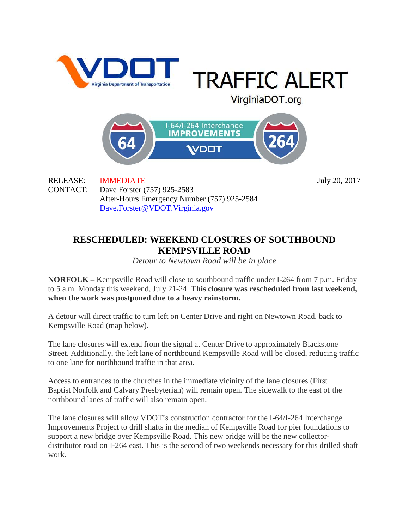

**TRAFFIC ALERT** 

VirginiaDOT.org

I-64/I-264 Interchange **IMPROVEMENTS DOT** 

RELEASE: IMMEDIATE July 20, 2017 CONTACT: Dave Forster (757) 925-2583 After-Hours Emergency Number (757) 925-2584 [Dave.Forster@VDOT.Virginia.gov](mailto:Dave.Forster@VDOT.Virginia.gov)

## **RESCHEDULED: WEEKEND CLOSURES OF SOUTHBOUND KEMPSVILLE ROAD**

*Detour to Newtown Road will be in place*

**NORFOLK –** Kempsville Road will close to southbound traffic under I-264 from 7 p.m. Friday to 5 a.m. Monday this weekend, July 21-24. **This closure was rescheduled from last weekend, when the work was postponed due to a heavy rainstorm.**

A detour will direct traffic to turn left on Center Drive and right on Newtown Road, back to Kempsville Road (map below).

The lane closures will extend from the signal at Center Drive to approximately Blackstone Street. Additionally, the left lane of northbound Kempsville Road will be closed, reducing traffic to one lane for northbound traffic in that area.

Access to entrances to the churches in the immediate vicinity of the lane closures (First Baptist Norfolk and Calvary Presbyterian) will remain open. The sidewalk to the east of the northbound lanes of traffic will also remain open.

The lane closures will allow VDOT's construction contractor for the I-64/I-264 Interchange Improvements Project to drill shafts in the median of Kempsville Road for pier foundations to support a new bridge over Kempsville Road. This new bridge will be the new collectordistributor road on I-264 east. This is the second of two weekends necessary for this drilled shaft work.